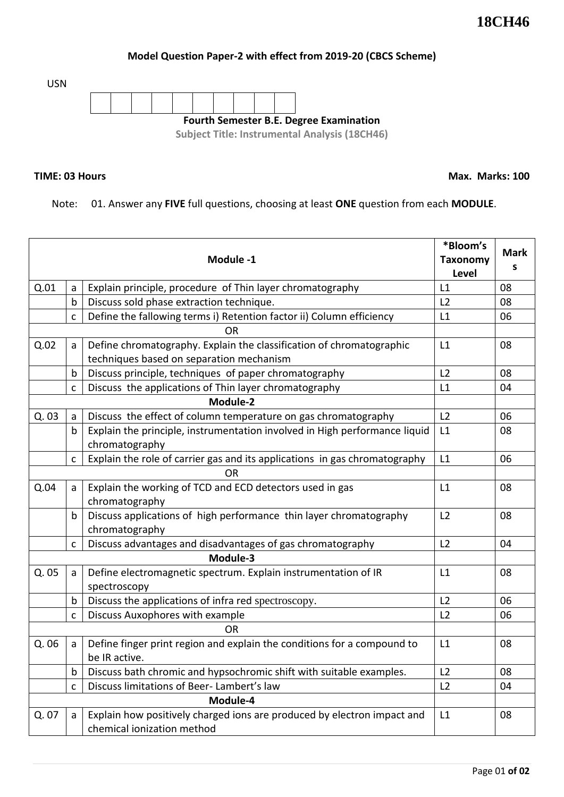## **Model Question Paper-2 with effect from 2019-20 (CBCS Scheme)**

USN



## **TIME: 03 Hours**

**Max. Marks: 100**

Note: 01. Answer any **FIVE** full questions, choosing at least **ONE** question from each **MODULE**.

| Module -1 |   |                                                                            |                          | <b>Mark</b> |  |
|-----------|---|----------------------------------------------------------------------------|--------------------------|-------------|--|
|           |   |                                                                            | <b>Taxonomy</b><br>Level | S           |  |
| Q.01      | a | Explain principle, procedure of Thin layer chromatography                  | L1                       | 08          |  |
|           | b | Discuss sold phase extraction technique.                                   | L <sub>2</sub>           | 08          |  |
|           | C | Define the fallowing terms i) Retention factor ii) Column efficiency       | L1                       | 06          |  |
| <b>OR</b> |   |                                                                            |                          |             |  |
| Q.02      | a | Define chromatography. Explain the classification of chromatographic       | L1                       | 08          |  |
|           |   | techniques based on separation mechanism                                   |                          |             |  |
|           | b | Discuss principle, techniques of paper chromatography                      | L2                       | 08          |  |
|           | C | Discuss the applications of Thin layer chromatography                      | L1                       | 04          |  |
| Module-2  |   |                                                                            |                          |             |  |
| Q. 03     | a | Discuss the effect of column temperature on gas chromatography             | L2                       | 06          |  |
|           | b | Explain the principle, instrumentation involved in High performance liquid | L1                       | 08          |  |
|           |   | chromatography                                                             |                          |             |  |
|           | C | Explain the role of carrier gas and its applications in gas chromatography | L1                       | 06          |  |
|           |   |                                                                            |                          |             |  |
| Q.04      | a | Explain the working of TCD and ECD detectors used in gas                   | L1                       | 08          |  |
|           |   | chromatography                                                             |                          |             |  |
|           | b | Discuss applications of high performance thin layer chromatography         | L2                       | 08          |  |
|           |   | chromatography                                                             |                          |             |  |
|           | C | Discuss advantages and disadvantages of gas chromatography                 | L2                       | 04          |  |
|           |   |                                                                            |                          |             |  |
| Q. 05     | a | Define electromagnetic spectrum. Explain instrumentation of IR             | L1                       | 08          |  |
|           |   | spectroscopy                                                               |                          |             |  |
|           | b | Discuss the applications of infra red spectroscopy.                        | L2                       | 06          |  |
|           | C | Discuss Auxophores with example                                            | L <sub>2</sub>           | 06          |  |
| OR        |   |                                                                            |                          |             |  |
| Q. 06     | a | Define finger print region and explain the conditions for a compound to    | L1                       | 08          |  |
|           |   | be IR active.                                                              |                          |             |  |
|           | b | Discuss bath chromic and hypsochromic shift with suitable examples.        | L2                       | 08          |  |
|           | С | Discuss limitations of Beer-Lambert's law                                  | L2                       | 04          |  |
| Module-4  |   |                                                                            |                          |             |  |
| Q. 07     | a | Explain how positively charged ions are produced by electron impact and    | L1                       | 08          |  |
|           |   | chemical ionization method                                                 |                          |             |  |